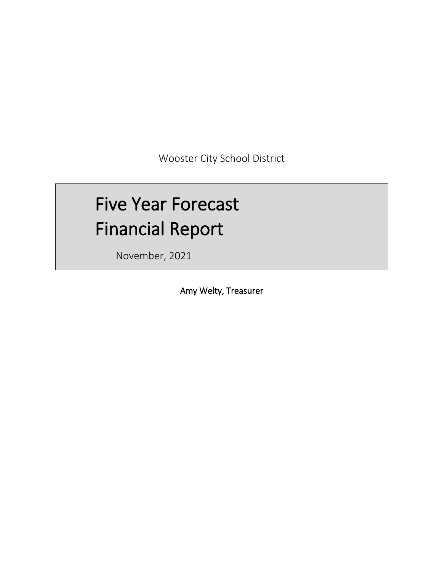Wooster City School District

# Five Year Forecast Financial Report

November, 2021

Amy Welty, Treasurer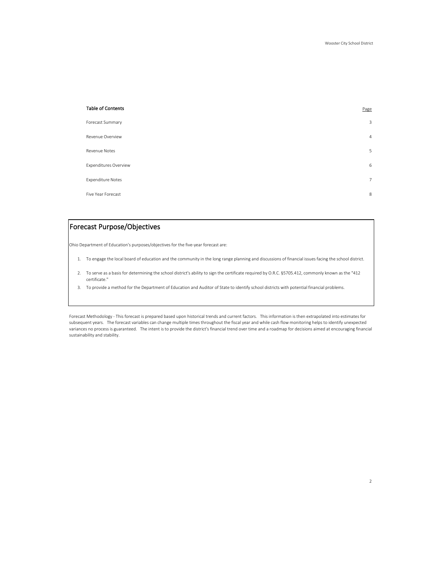| <b>Table of Contents</b>     | Page           |
|------------------------------|----------------|
| Forecast Summary             | 3              |
| Revenue Overview             | $\overline{4}$ |
| <b>Revenue Notes</b>         | 5              |
| <b>Expenditures Overview</b> | 6              |
| <b>Expenditure Notes</b>     | 7              |
| Five Year Forecast           | 8              |

## Forecast Purpose/Objectives

Ohio Department of Education's purposes/objectives for the five-year forecast are:

- 1. To engage the local board of education and the community in the long range planning and discussions of financial issues facing the school district.
- 2. To serve as a basis for determining the school district's ability to sign the certificate required by O.R.C. §5705.412, commonly known as the "412 certificate."
- 3. To provide a method for the Department of Education and Auditor of State to identify school districts with potential financial problems.

Forecast Methodology - This forecast is prepared based upon historical trends and current factors. This information is then extrapolated into estimates for subsequent years. The forecast variables can change multiple times throughout the fiscal year and while cash flow monitoring helps to identify unexpected variances no process is guaranteed. The intent is to provide the district's financial trend over time and a roadmap for decisions aimed at encouraging financial sustainability and stability.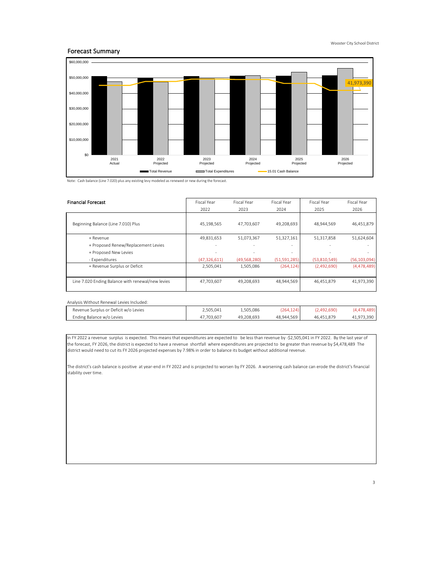## Forecast Summary



Note: Cash balance (Line 7.020) plus any existing levy modeled as renewed or new during the forecast.

| <b>Financial Forecast</b>                         | Fiscal Year<br>Fiscal Year |              | Fiscal Year    | Fiscal Year  | Fiscal Year    |
|---------------------------------------------------|----------------------------|--------------|----------------|--------------|----------------|
|                                                   | 2022                       | 2023         | 2024           | 2025         | 2026           |
| Beginning Balance (Line 7.010) Plus               | 45.198.565                 | 47.703.607   | 49,208,693     | 48.944.569   | 46,451,879     |
| + Revenue                                         | 49,831,653                 | 51,073,367   | 51,327,161     | 51,317,858   | 51,624,604     |
| + Proposed Renew/Replacement Levies               | ۰                          |              | ٠              |              |                |
| + Proposed New Levies                             |                            |              | ٠              |              |                |
| - Expenditures                                    | (47, 326, 611)             | (49,568,280) | (51, 591, 285) | (53,810,549) | (56, 103, 094) |
| = Revenue Surplus or Deficit                      | 2,505,041                  | 1,505,086    | (264, 124)     | (2,492,690)  | (4,478,489)    |
| Line 7.020 Ending Balance with renewal/new levies | 47,703,607                 | 49,208,693   | 48,944,569     | 46,451,879   | 41,973,390     |

| Analysis Without Renewal Levies Included: |            |            |            |             |             |
|-------------------------------------------|------------|------------|------------|-------------|-------------|
| Revenue Surplus or Deficit w/o Levies     | 2.505.041  | 1.505.086  | (264, 124) | (2.492.690) | (4,478,489) |
| Ending Balance w/o Levies                 | 47.703.607 | 49.208.693 | 48.944.569 | 46.451.879  | 41.973.390  |

In FY 2022 a revenue surplus is expected. This means that expenditures are expected to be less than revenue by -\$2,505,041 in FY 2022. By the last year of the forecast, FY 2026, the district is expected to have a revenue shortfall where expenditures are projected to be greater than revenue by \$4,478,489 The district would need to cut its FY 2026 projected expenses by 7.98% in order to balance its budget without additional revenue.

The district's cash balance is positive at year-end in FY 2022 and is projected to worsen by FY 2026. A worsening cash balance can erode the district's financial stability over time.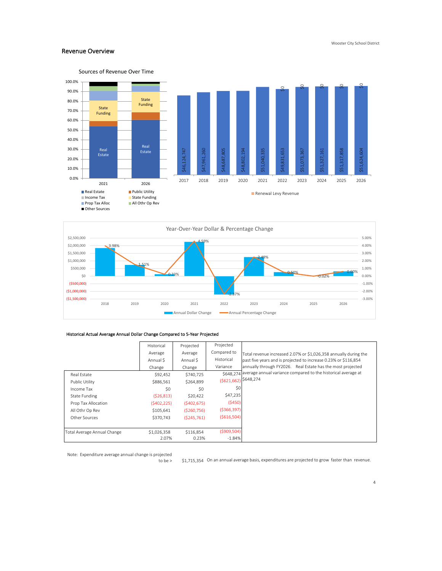## Revenue Overview





## Historical Actual Average Annual Dollar Change Compared to 5-Year Projected

|                             | Historical  | Projected     | Projected              |                                                                         |
|-----------------------------|-------------|---------------|------------------------|-------------------------------------------------------------------------|
|                             | Average     | Average       | Compared to            | Total revenue increased 2.07% or \$1,026,358 annually during the        |
|                             | Annual S    | Annual \$     | Historical             | past five years and is projected to increase 0.23% or \$116,854         |
|                             | Change      | Change        | Variance               | annually through FY2026. Real Estate has the most projected             |
| Real Estate                 | \$92,452    | \$740,725     |                        | \$648.274 average annual variance compared to the historical average at |
| Public Utility              | \$886,561   | \$264,899     | $(5621,662)$ \$648,274 |                                                                         |
| Income Tax                  | \$0         | \$0           | \$0                    |                                                                         |
| <b>State Funding</b>        | (526, 813)  | \$20,422      | \$47,235               |                                                                         |
| Prop Tax Allocation         | (5402, 225) | (5402, 675)   | (5450)                 |                                                                         |
| All Othr Op Rev             | \$105,641   | ( \$260, 756) | ( \$366, 397)          |                                                                         |
| Other Sources               | \$370.743   | (5245,761)    | ( \$616, 504)          |                                                                         |
|                             |             |               |                        |                                                                         |
| Total Average Annual Change | \$1,026,358 | \$116,854     | ( \$909, 504)          |                                                                         |
|                             | 2.07%       | 0.23%         | $-1.84%$               |                                                                         |

Note: Expenditure average annual change is projected

to be > S1,715,354 On an annual average basis, expenditures are projected to grow faster than revenue.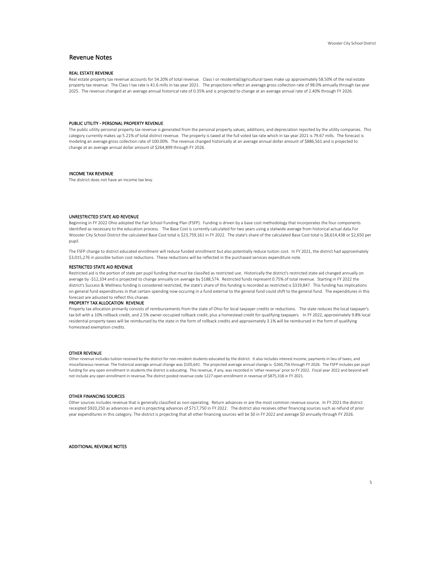## Revenue Notes

## REAL ESTATE REVENUE

Real estate property tax revenue accounts for 54.20% of total revenue. Class I or residential/agricultural taxes make up approximately 58.50% of the real estate property tax revenue. The Class I tax rate is 41.6 mills in tax year 2021. The projections reflect an average gross collection rate of 98.0% annually through tax year 2025. The revenue changed at an average annual historical rate of 0.35% and is projected to change at an average annual rate of 2.40% through FY 2026.

### PUBLIC UTILITY - PERSONAL PROPERTY REVENUE

The public utility personal property tax revenue is generated from the personal property values, additions, and depreciation reported by the utility companies. This category currently makes up 5.21% of total district revenue. The property is taxed at the full voted tax rate which in tax year 2021 is 79.67 mills. The forecast is modeling an average gross collection rate of 100.00%. The revenue changed historically at an average annual dollar amount of \$886,561 and is projected to change at an average annual dollar amount of \$264,899 through FY 2026.

## INCOME TAX REVENUE

The district does not have an income tax levy.

#### UNRESTRICTED STATE AID REVENUE

Beginning in FY 2022 Ohio adopted the Fair School Funding Plan (FSFP). Funding is driven by a base cost methodology that incorporates the four components identified as necessary to the education process. The Base Cost is currently calculated for two years using a statwide average from historical actual data.For Wooster City School District the calculated Base Cost total is \$23,759,161 in FY 2022. The state's share of the calculated Base Cost total is \$8,614,438 or \$2,650 per pupil.

The FSFP change to district educated enrollment will reduce funded enrollment but also potentially reduce tuition cost. In FY 2021, the district had approximately \$3,015,276 in possible tuition cost reductions. These reductions will be reflected in the purchased services expenditure note.

## RESTRICTED STATE AID REVENUE

Restricted aid is the portion of state per pupil funding that must be classifed as restricted use. Historically the district's restricted state aid changed annually on average by -\$12,334 and is projected to change annually on average by \$188,574. Restricted funds represent 0.75% of total revenue. Starting in FY 2022 the district's Success & Wellness funding is considered restricted, the state's share of this funding is recorded as restricted is \$319,847. This funding has implications on general fund expenditures in that certain spending now occuring in a fund external to the general fund could shift to the general fund. The expenditures in this forecast are adjusted to reflect this change.

#### PROPERTY TAX ALLOCATION REVENUE

Property tax allocation primarily consists of reimbursements from the state of Ohio for local taxpayer credits or reductions. The state reduces the local taxpayer's tax bill with a 10% rollback credit, and 2.5% owner-occupied rollback credit, plus a homestead credit for qualifying taxpayers. In FY 2022, approximately 9.8% local residential property taxes will be reimbursed by the state in the form of rollback credits and approximately 3.1% will be reimbursed in the form of qualifying homestead exemption credits.

#### OTHER REVENUE

Other revenue includes tuition received by the district for non-resident students educated by the district. It also includes interest income, payments in lieu of taxes, and miscellaneous revenue. The historical average annual change was \$105,641. The projected average annual change is -\$260,756 through FY 2026. The FSFP includes per pupil funding for any open enrollment in students the district is educating. This revenue, if any, was recorded in 'other revenue' prior to FY 2022. Fiscal year 2022 and beyond will not include any open enrollment in revenue.The district posted revenue code 1227 open enrollment in revenue of \$875,318 in FY 2021.

### OTHER FINANCING SOURCES

Other sources includes revenue that is generally classified as non-operating. Return advances-in are the most common revenue source. In FY 2021 the district receipted \$920,250 as advances-in and is projecting advances of \$717,750 in FY 2022. The district also receives other financing sources such as refund of prior year expenditures in this category. The district is projecting that all other financing sources will be \$0 in FY 2022 and average \$0 annually through FY 2026.

ADDITIONAL REVENUE NOTES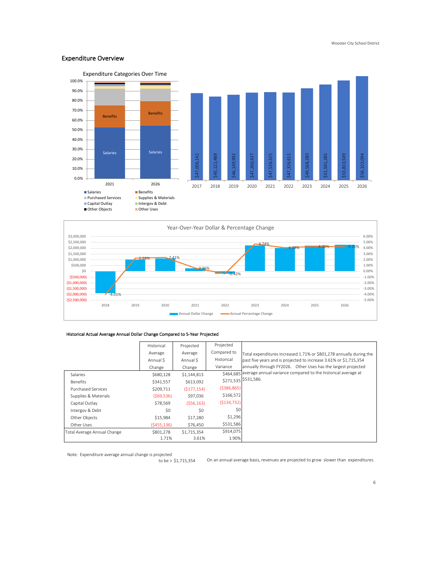## Expenditure Overview





## Historical Actual Average Annual Dollar Change Compared to 5-Year Projected

|                             | Historical  | Projected   | Projected     |                                                                         |
|-----------------------------|-------------|-------------|---------------|-------------------------------------------------------------------------|
|                             | Average     | Average     | Compared to   | Total expenditures increased 1.71% or \$801,278 annually during the     |
|                             | Annual S    | Annual \$   | Historical    | past five years and is projected to increase 3.61% or \$1,715,354       |
|                             | Change      | Change      | Variance      | annually through FY2026. Other Uses has the largest projected           |
| Salaries                    | \$680,128   | \$1,144,813 |               | \$464.685 average annual variance compared to the historical average at |
| Benefits                    | \$341,557   | \$613,092   |               | \$271,535 \$531,586.                                                    |
| <b>Purchased Services</b>   | \$209,711   | (S177, 154) | ( \$386, 865) |                                                                         |
| Supplies & Materials        | (569,536)   | \$97,036    | \$166,572     |                                                                         |
| Capital Outlav              | \$78,569    | (556, 163)  | (5134, 732)   |                                                                         |
| Intergov & Debt             | \$0         | \$0         | \$0           |                                                                         |
| Other Obiects               | \$15.984    | \$17,280    | \$1,296       |                                                                         |
| Other Uses                  | (5455, 136) | \$76,450    | \$531,586     |                                                                         |
| Total Average Annual Change | \$801,278   | \$1,715,354 | \$914,075     |                                                                         |
|                             | 1.71%       | 3.61%       | 1.90%         |                                                                         |

Note: Expenditure average annual change is projected

to be > \$1,715,354 On an annual average basis, revenues are projected to grow slower than expenditures.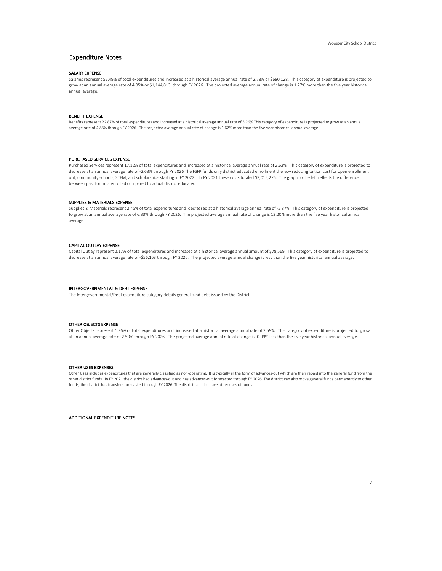## Expenditure Notes

## SALARY EXPENSE

Salaries represent 52.49% of total expenditures and increased at a historical average annual rate of 2.78% or \$680,128. This category of expenditure is projected to grow at an annual average rate of 4.05% or \$1,144,813 through FY 2026. The projected average annual rate of change is 1.27% more than the five year historical annual average.

## BENEFIT EXPENSE

Benefits represent 22.87% of total expenditures and increased at a historical average annual rate of 3.26% This category of expenditure is projected to grow at an annual average rate of 4.88% through FY 2026. The projected average annual rate of change is 1.62% more than the five year historical annual average.

#### PURCHASED SERVICES EXPENSE

Purchased Services represent 17.12% of total expenditures and increased at a historical average annual rate of 2.62%. This category of expenditure is projected to decrease at an annual average rate of -2.63% through FY 2026 The FSFP funds only district educated enrollment thereby reducing tuition cost for open enrollment out, community schools, STEM, and scholarships starting in FY 2022. In FY 2021 these costs totaled \$3,015,276. The graph to the left reflects the difference between past formula enrolled compared to actual district educated.

## SUPPLIES & MATERIALS EXPENSE

Supplies & Materials represent 2.45% of total expenditures and decreased at a historical average annual rate of -5.87%. This category of expenditure is projected to grow at an annual average rate of 6.33% through FY 2026. The projected average annual rate of change is 12.20% more than the five year historical annual average.

## CAPITAL OUTLAY EXPENSE

Capital Outlay represent 2.17% of total expenditures and increased at a historical average annual amount of \$78,569. This category of expenditure is projected to decrease at an annual average rate of -\$56,163 through FY 2026. The projected average annual change is less than the five year historical annual average.

#### INTERGOVERNMENTAL & DEBT EXPENSE

The Intergovernmental/Debt expenditure category details general fund debt issued by the District.

#### OTHER OBJECTS EXPENSE

Other Objects represent 1.36% of total expenditures and increased at a historical average annual rate of 2.59%. This category of expenditure is projected to grow at an annual average rate of 2.50% through FY 2026. The projected average annual rate of change is -0.09% less than the five year historical annual average.

### OTHER USES EXPENSES

Other Uses includes expenditures that are generally classified as non-operating. It is typically in the form of advances-out which are then repaid into the general fund from the other district funds. In FY 2021 the district had advances-out and has advances-out forecasted through FY 2026. The district can also move general funds permanently to other funds, the district has transfers forecasted through FY 2026. The district can also have other uses of funds.

ADDITIONAL EXPENDITURE NOTES